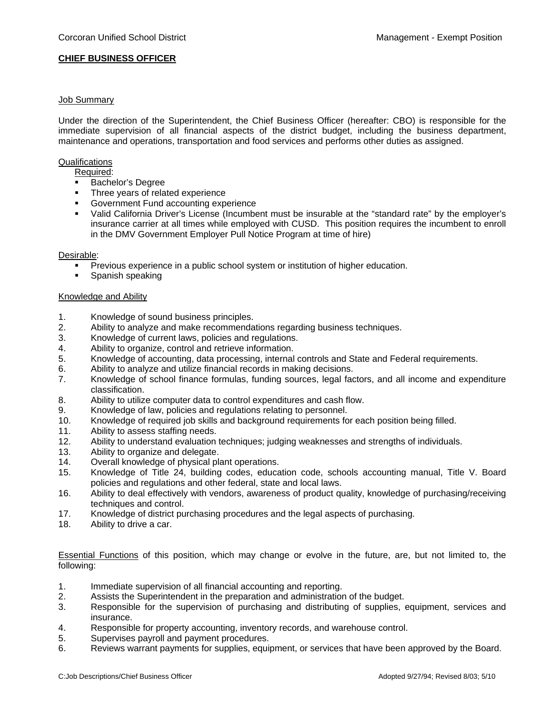### **CHIEF BUSINESS OFFICER**

# Job Summary

Under the direction of the Superintendent, the Chief Business Officer (hereafter: CBO) is responsible for the immediate supervision of all financial aspects of the district budget, including the business department, maintenance and operations, transportation and food services and performs other duties as assigned.

#### **Qualifications**

Required:

- **Bachelor's Degree**
- Three years of related experience
- Government Fund accounting experience
- Valid California Driver's License (Incumbent must be insurable at the "standard rate" by the employer's insurance carrier at all times while employed with CUSD. This position requires the incumbent to enroll in the DMV Government Employer Pull Notice Program at time of hire)

#### Desirable:

- Previous experience in a public school system or institution of higher education.
- **Spanish speaking**

# Knowledge and Ability

- 1. Knowledge of sound business principles.
- 2. Ability to analyze and make recommendations regarding business techniques.
- 3. Knowledge of current laws, policies and regulations.
- 4. Ability to organize, control and retrieve information.
- 5. Knowledge of accounting, data processing, internal controls and State and Federal requirements.
- 6. Ability to analyze and utilize financial records in making decisions.
- 7. Knowledge of school finance formulas, funding sources, legal factors, and all income and expenditure classification.
- 8. Ability to utilize computer data to control expenditures and cash flow.
- 9. Knowledge of law, policies and regulations relating to personnel.
- 10. Knowledge of required job skills and background requirements for each position being filled.
- 11. Ability to assess staffing needs.
- 12. Ability to understand evaluation techniques; judging weaknesses and strengths of individuals.
- 13. Ability to organize and delegate.
- 14. Overall knowledge of physical plant operations.
- 15. Knowledge of Title 24, building codes, education code, schools accounting manual, Title V. Board policies and regulations and other federal, state and local laws.
- 16. Ability to deal effectively with vendors, awareness of product quality, knowledge of purchasing/receiving techniques and control.
- 17. Knowledge of district purchasing procedures and the legal aspects of purchasing.
- 18. Ability to drive a car.

Essential Functions of this position, which may change or evolve in the future, are, but not limited to, the following:

- 1. Immediate supervision of all financial accounting and reporting.
- 2. Assists the Superintendent in the preparation and administration of the budget.
- 3. Responsible for the supervision of purchasing and distributing of supplies, equipment, services and insurance.
- 4. Responsible for property accounting, inventory records, and warehouse control.
- 5. Supervises payroll and payment procedures.
- 6. Reviews warrant payments for supplies, equipment, or services that have been approved by the Board.